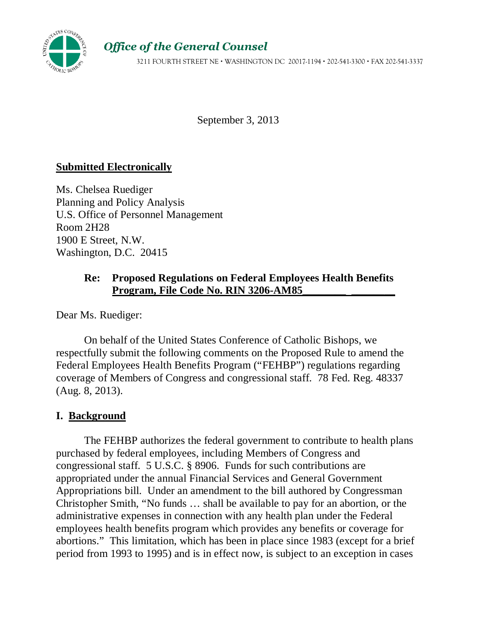

# Office of the General Counsel

3211 FOURTH STREET NE WASHINGTON DC 20017-1194 202-541-3300 FAX 202-541-3337

September 3, 2013

### **Submitted Electronically**

Ms. Chelsea Ruediger Planning and Policy Analysis U.S. Office of Personnel Management Room 2H28 1900 E Street, N.W. Washington, D.C. 20415

# **Re: Proposed Regulations on Federal Employees Health Benefits**  Program, File Code No. RIN 3206-AM85

Dear Ms. Ruediger:

 On behalf of the United States Conference of Catholic Bishops, we respectfully submit the following comments on the Proposed Rule to amend the Federal Employees Health Benefits Program ("FEHBP") regulations regarding coverage of Members of Congress and congressional staff. 78 Fed. Reg. 48337 (Aug. 8, 2013).

### **I. Background**

 The FEHBP authorizes the federal government to contribute to health plans purchased by federal employees, including Members of Congress and congressional staff. 5 U.S.C. § 8906. Funds for such contributions are appropriated under the annual Financial Services and General Government Appropriations bill. Under an amendment to the bill authored by Congressman Christopher Smith, "No funds … shall be available to pay for an abortion, or the administrative expenses in connection with any health plan under the Federal employees health benefits program which provides any benefits or coverage for abortions." This limitation, which has been in place since 1983 (except for a brief period from 1993 to 1995) and is in effect now, is subject to an exception in cases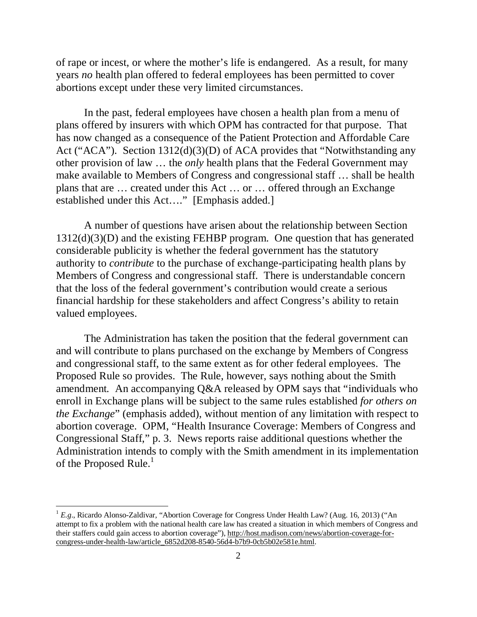of rape or incest, or where the mother's life is endangered. As a result, for many years *no* health plan offered to federal employees has been permitted to cover abortions except under these very limited circumstances.

In the past, federal employees have chosen a health plan from a menu of plans offered by insurers with which OPM has contracted for that purpose. That has now changed as a consequence of the Patient Protection and Affordable Care Act ("ACA"). Section 1312(d)(3)(D) of ACA provides that "Notwithstanding any other provision of law … the *only* health plans that the Federal Government may make available to Members of Congress and congressional staff … shall be health plans that are … created under this Act … or … offered through an Exchange established under this Act…." [Emphasis added.]

A number of questions have arisen about the relationship between Section 1312(d)(3)(D) and the existing FEHBP program. One question that has generated considerable publicity is whether the federal government has the statutory authority to *contribute* to the purchase of exchange-participating health plans by Members of Congress and congressional staff. There is understandable concern that the loss of the federal government's contribution would create a serious financial hardship for these stakeholders and affect Congress's ability to retain valued employees.

The Administration has taken the position that the federal government can and will contribute to plans purchased on the exchange by Members of Congress and congressional staff, to the same extent as for other federal employees. The Proposed Rule so provides. The Rule, however, says nothing about the Smith amendment*.* An accompanying Q&A released by OPM says that "individuals who enroll in Exchange plans will be subject to the same rules established *for others on the Exchange*" (emphasis added), without mention of any limitation with respect to abortion coverage. OPM, "Health Insurance Coverage: Members of Congress and Congressional Staff," p. 3. News reports raise additional questions whether the Administration intends to comply with the Smith amendment in its implementation of the Proposed Rule. $<sup>1</sup>$ </sup>

-

<sup>&</sup>lt;sup>1</sup> E.g., Ricardo Alonso-Zaldivar, "Abortion Coverage for Congress Under Health Law? (Aug. 16, 2013) ("An attempt to fix a problem with the national health care law has created a situation in which members of Congress and their staffers could gain access to abortion coverage"), http://host.madison.com/news/abortion-coverage-forcongress-under-health-law/article\_6852d208-8540-56d4-b7b9-0cb5b02e581e.html.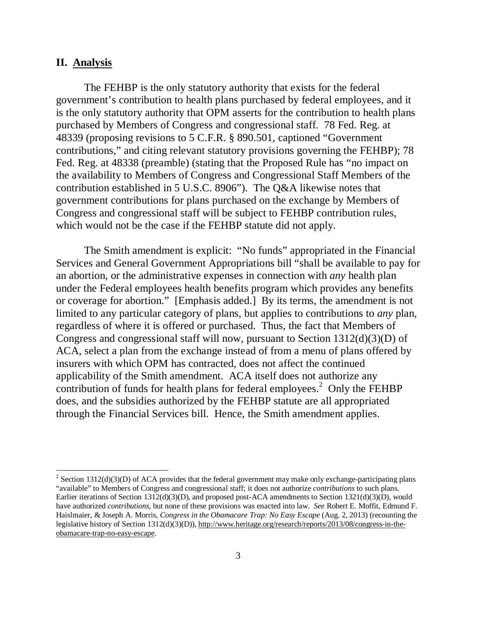#### **II. Analysis**

<u>.</u>

The FEHBP is the only statutory authority that exists for the federal government's contribution to health plans purchased by federal employees, and it is the only statutory authority that OPM asserts for the contribution to health plans purchased by Members of Congress and congressional staff. 78 Fed. Reg. at 48339 (proposing revisions to 5 C.F.R. § 890.501, captioned "Government contributions," and citing relevant statutory provisions governing the FEHBP); 78 Fed. Reg. at 48338 (preamble) (stating that the Proposed Rule has "no impact on the availability to Members of Congress and Congressional Staff Members of the contribution established in 5 U.S.C. 8906"). The Q&A likewise notes that government contributions for plans purchased on the exchange by Members of Congress and congressional staff will be subject to FEHBP contribution rules, which would not be the case if the FEHBP statute did not apply.

The Smith amendment is explicit: "No funds" appropriated in the Financial Services and General Government Appropriations bill "shall be available to pay for an abortion, or the administrative expenses in connection with *any* health plan under the Federal employees health benefits program which provides any benefits or coverage for abortion." [Emphasis added.] By its terms, the amendment is not limited to any particular category of plans, but applies to contributions to *any* plan, regardless of where it is offered or purchased. Thus, the fact that Members of Congress and congressional staff will now, pursuant to Section 1312(d)(3)(D) of ACA, select a plan from the exchange instead of from a menu of plans offered by insurers with which OPM has contracted, does not affect the continued applicability of the Smith amendment. ACA itself does not authorize any contribution of funds for health plans for federal employees. 2 Only the FEHBP does, and the subsidies authorized by the FEHBP statute are all appropriated through the Financial Services bill. Hence, the Smith amendment applies.

<sup>&</sup>lt;sup>2</sup> Section 1312(d)(3)(D) of ACA provides that the federal government may make only exchange-participating plans "available" to Members of Congress and congressional staff; it does not authorize *contributions* to such plans. Earlier iterations of Section 1312(d)(3)(D), and proposed post-ACA amendments to Section 1321(d)(3)(D), would have authorized *contributions*, but none of these provisions was enacted into law. *See* Robert E. Moffit, Edmund F. Haislmaier, & Joseph A. Morris, *Congress in the Obamacare Trap: No Easy Escape* (Aug. 2, 2013) (recounting the legislative history of Section 1312(d)(3)(D)), http://www.heritage.org/research/reports/2013/08/congress-in-theobamacare-trap-no-easy-escape.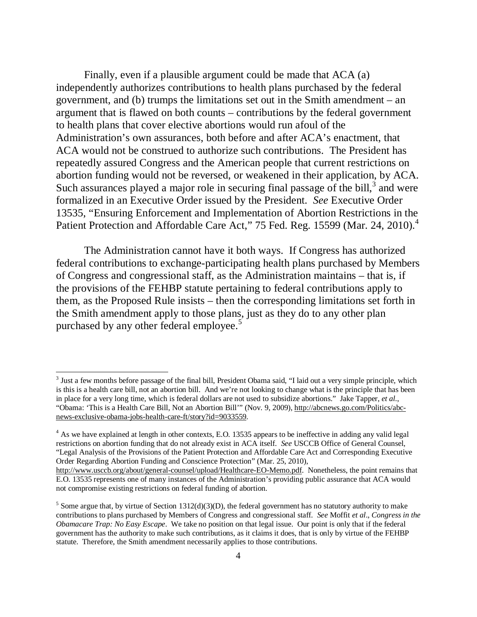Finally, even if a plausible argument could be made that ACA (a) independently authorizes contributions to health plans purchased by the federal government, and (b) trumps the limitations set out in the Smith amendment – an argument that is flawed on both counts – contributions by the federal government to health plans that cover elective abortions would run afoul of the Administration's own assurances, both before and after ACA's enactment, that ACA would not be construed to authorize such contributions. The President has repeatedly assured Congress and the American people that current restrictions on abortion funding would not be reversed, or weakened in their application, by ACA. Such assurances played a major role in securing final passage of the bill, $3$  and were formalized in an Executive Order issued by the President. *See* Executive Order 13535, "Ensuring Enforcement and Implementation of Abortion Restrictions in the Patient Protection and Affordable Care Act," 75 Fed. Reg. 15599 (Mar. 24, 2010).<sup>4</sup>

The Administration cannot have it both ways. If Congress has authorized federal contributions to exchange-participating health plans purchased by Members of Congress and congressional staff, as the Administration maintains – that is, if the provisions of the FEHBP statute pertaining to federal contributions apply to them, as the Proposed Rule insists – then the corresponding limitations set forth in the Smith amendment apply to those plans, just as they do to any other plan purchased by any other federal employee.<sup>5</sup>

<u>.</u>

<sup>&</sup>lt;sup>3</sup> Just a few months before passage of the final bill, President Obama said, "I laid out a very simple principle, which is this is a health care bill, not an abortion bill. And we're not looking to change what is the principle that has been in place for a very long time, which is federal dollars are not used to subsidize abortions." Jake Tapper, *et al*., "Obama: 'This is a Health Care Bill, Not an Abortion Bill'" (Nov. 9, 2009), http://abcnews.go.com/Politics/abcnews-exclusive-obama-jobs-health-care-ft/story?id=9033559.

<sup>&</sup>lt;sup>4</sup> As we have explained at length in other contexts, E.O. 13535 appears to be ineffective in adding any valid legal restrictions on abortion funding that do not already exist in ACA itself. *See* USCCB Office of General Counsel, "Legal Analysis of the Provisions of the Patient Protection and Affordable Care Act and Corresponding Executive Order Regarding Abortion Funding and Conscience Protection" (Mar. 25, 2010),

http://www.usccb.org/about/general-counsel/upload/Healthcare-EO-Memo.pdf. Nonetheless, the point remains that E.O. 13535 represents one of many instances of the Administration's providing public assurance that ACA would not compromise existing restrictions on federal funding of abortion.

<sup>&</sup>lt;sup>5</sup> Some argue that, by virtue of Section  $1312(d)(3)(D)$ , the federal government has no statutory authority to make contributions to plans purchased by Members of Congress and congressional staff. *See* Moffit *et al*., *Congress in the Obamacare Trap: No Easy Escape*. We take no position on that legal issue. Our point is only that if the federal government has the authority to make such contributions, as it claims it does, that is only by virtue of the FEHBP statute. Therefore, the Smith amendment necessarily applies to those contributions.